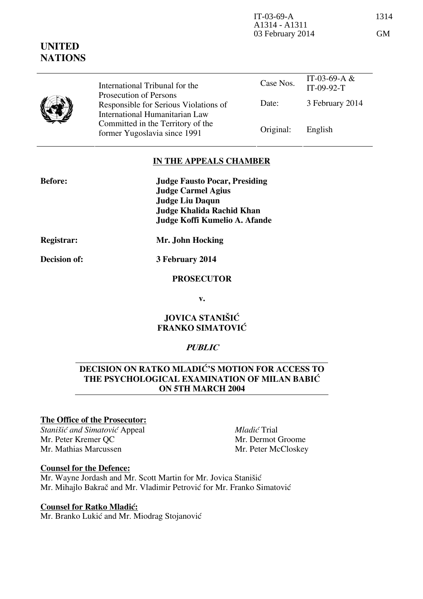| IT-03-69-A       | 1314      |
|------------------|-----------|
| A1314 - A1311    |           |
| 03 February 2014 | <b>GM</b> |

|  | International Tribunal for the<br>Prosecution of Persons                | Case Nos. | IT-03-69-A $&$<br>$IT-09-92-T$ |
|--|-------------------------------------------------------------------------|-----------|--------------------------------|
|  | Responsible for Serious Violations of<br>International Humanitarian Law | Date:     | 3 February 2014                |
|  | Committed in the Territory of the<br>former Yugoslavia since 1991       | Original: | English                        |

# **IN THE APPEALS CHAMBER**

| <b>Judge Fausto Pocar, Presiding</b> |
|--------------------------------------|
|                                      |
|                                      |
|                                      |
| Judge Koffi Kumelio A. Afande        |
|                                      |

**Before:** 

**UNITED NATIONS**

**Registrar: Mr. John Hocking** 

**Decision of: 3 February 2014** 

## **PROSECUTOR**

**v.** 

# **JOVICA STANIŠIĆ FRANKO SIMATOVIĆ**

## **PUBLIC**

# **DECISION ON RATKO MLADIĆ'S MOTION FOR ACCESS TO THE PSYCHOLOGICAL EXAMINATION OF MILAN BABIC ON 5TH MARCH 2004**

## **The Office of the Prosecutor:**

**Stanišić** and Simatović Appeal Mr. Peter Kremer QC Mr. Mathias Marcussen

*Mladić* Trial Mr. Dermot Groome Mr. Peter McCloskey

#### **Counsel for the Defence:**

Mr. Wayne Jordash and Mr. Scott Martin for Mr. Jovica Stanišić Mr. Mihajlo Bakrač and Mr. Vladimir Petrović for Mr. Franko Simatović

#### **Counsel for Ratko Mladić:**

Mr. Branko Lukić and Mr. Miodrag Stojanović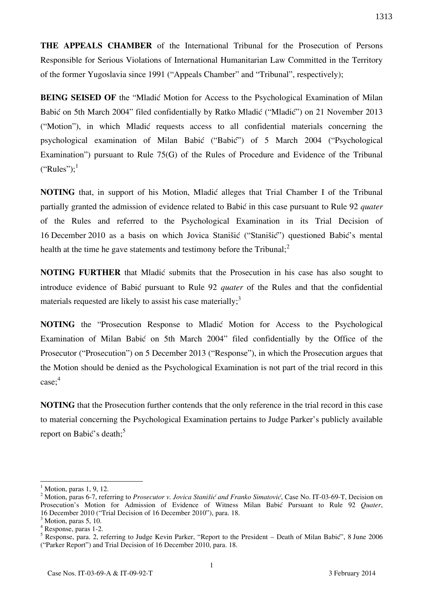**THE APPEALS CHAMBER** of the International Tribunal for the Prosecution of Persons Responsible for Serious Violations of International Humanitarian Law Committed in the Territory of the former Yugoslavia since 1991 ("Appeals Chamber" and "Tribunal", respectively);

**BEING SEISED OF** the "Mladic Motion for Access to the Psychological Examination of Milan Babić on 5th March 2004" filed confidentially by Ratko Mladić ("Mladić") on 21 November 2013 ("Motion"), in which Mladić requests access to all confidential materials concerning the psychological examination of Milan Babić ("Babić") of 5 March 2004 ("Psychological Examination") pursuant to Rule 75(G) of the Rules of Procedure and Evidence of the Tribunal  $("Rules")$ ;<sup>1</sup>

**NOTING** that, in support of his Motion, Mladić alleges that Trial Chamber I of the Tribunal partially granted the admission of evidence related to Babić in this case pursuant to Rule 92 *quater* of the Rules and referred to the Psychological Examination in its Trial Decision of 16 December 2010 as a basis on which Jovica Stanišić ("Stanišić") questioned Babić's mental health at the time he gave statements and testimony before the Tribunal; $<sup>2</sup>$ </sup>

**NOTING FURTHER** that Mladić submits that the Prosecution in his case has also sought to introduce evidence of Babić pursuant to Rule 92 *quater* of the Rules and that the confidential materials requested are likely to assist his case materially;<sup>3</sup>

**NOTING** the "Prosecution Response to Mladic Motion for Access to the Psychological Examination of Milan Babić on 5th March 2004" filed confidentially by the Office of the Prosecutor ("Prosecution") on 5 December 2013 ("Response"), in which the Prosecution argues that the Motion should be denied as the Psychological Examination is not part of the trial record in this case; 4

**NOTING** that the Prosecution further contends that the only reference in the trial record in this case to material concerning the Psychological Examination pertains to Judge Parker's publicly available report on Babić's death:<sup>5</sup>

 $\overline{\phantom{a}}$ 

<sup>1</sup> Motion, paras 1, 9, 12.

<sup>&</sup>lt;sup>2</sup> Motion, paras 6-7, referring to *Prosecutor v. Jovica Stanišić and Franko Simatović*, Case No. IT-03-69-T, Decision on Prosecution's Motion for Admission of Evidence of Witness Milan Babić Pursuant to Rule 92 *Quater*, 16 December 2010 ("Trial Decision of 16 December 2010"), para. 18.

 $<sup>3</sup>$  Motion, paras 5, 10.</sup>

<sup>4</sup> Response, paras 1-2.

<sup>&</sup>lt;sup>5</sup> Response, para. 2, referring to Judge Kevin Parker, "Report to the President – Death of Milan Babić", 8 June 2006 ("Parker Report") and Trial Decision of 16 December 2010, para. 18.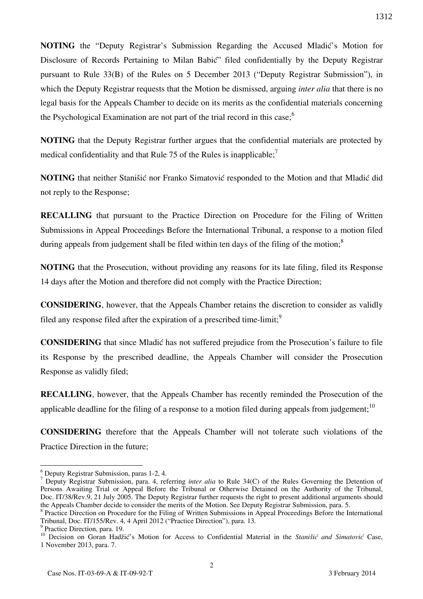**NOTING** the "Deputy Registrar's Submission Regarding the Accused Mladić's Motion for Disclosure of Records Pertaining to Milan Babić" filed confidentially by the Deputy Registrar pursuant to Rule 33(B) of the Rules on 5 December 2013 ("Deputy Registrar Submission"), in which the Deputy Registrar requests that the Motion be dismissed, arguing *inter alia* that there is no legal basis for the Appeals Chamber to decide on its merits as the confidential materials concerning the Psychological Examination are not part of the trial record in this case; $<sup>6</sup>$ </sup>

**NOTING** that the Deputy Registrar further argues that the confidential materials are protected by medical confidentiality and that Rule 75 of the Rules is inapplicable;<sup>7</sup>

**NOTING** that neither Stanišić nor Franko Simatović responded to the Motion and that Mladić did not reply to the Response;

**RECALLING** that pursuant to the Practice Direction on Procedure for the Filing of Written Submissions in Appeal Proceedings Before the International Tribunal, a response to a motion filed during appeals from judgement shall be filed within ten days of the filing of the motion;<sup>8</sup>

**NOTING** that the Prosecution, without providing any reasons for its late filing, filed its Response 14 days after the Motion and therefore did not comply with the Practice Direction;

**CONSIDERING**, however, that the Appeals Chamber retains the discretion to consider as validly filed any response filed after the expiration of a prescribed time-limit;<sup>9</sup>

**CONSIDERING** that since Mladić has not suffered prejudice from the Prosecution's failure to file its Response by the prescribed deadline, the Appeals Chamber will consider the Prosecution Response as validly filed;

**RECALLING**, however, that the Appeals Chamber has recently reminded the Prosecution of the applicable deadline for the filing of a response to a motion filed during appeals from judgement;<sup>10</sup>

**CONSIDERING** therefore that the Appeals Chamber will not tolerate such violations of the Practice Direction in the future;

1312

 $\overline{\phantom{a}}$ 6 Deputy Registrar Submission, paras 1-2, 4.

<sup>7</sup> Deputy Registrar Submission, para. 4, referring *inter alia* to Rule 34(C) of the Rules Governing the Detention of Persons Awaiting Trial or Appeal Before the Tribunal or Otherwise Detained on the Authority of the Tribunal, Doc. IT/38/Rev.9, 21 July 2005. The Deputy Registrar further requests the right to present additional arguments should the Appeals Chamber decide to consider the merits of the Motion. See Deputy Registrar Submission, para. 5.

<sup>&</sup>lt;sup>8</sup> Practice Direction on Procedure for the Filing of Written Submissions in Appeal Proceedings Before the International Tribunal, Doc. IT/155/Rev. 4, 4 April 2012 ("Practice Direction"), para. 13.

<sup>&</sup>lt;sup>9</sup> Practice Direction, para. 19.

<sup>&</sup>lt;sup>10</sup> Decision on Goran Hadžić's Motion for Access to Confidential Material in the *Stanišić and Simatović* Case, 1 November 2013, para. 7.